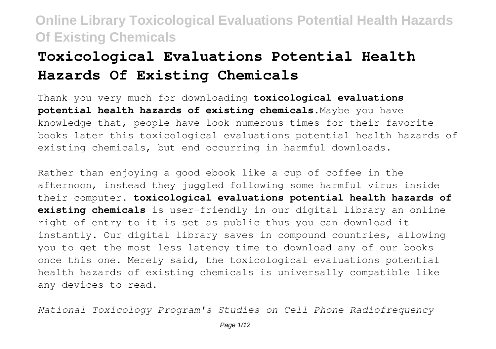# **Toxicological Evaluations Potential Health Hazards Of Existing Chemicals**

Thank you very much for downloading **toxicological evaluations potential health hazards of existing chemicals**.Maybe you have knowledge that, people have look numerous times for their favorite books later this toxicological evaluations potential health hazards of existing chemicals, but end occurring in harmful downloads.

Rather than enjoying a good ebook like a cup of coffee in the afternoon, instead they juggled following some harmful virus inside their computer. **toxicological evaluations potential health hazards of existing chemicals** is user-friendly in our digital library an online right of entry to it is set as public thus you can download it instantly. Our digital library saves in compound countries, allowing you to get the most less latency time to download any of our books once this one. Merely said, the toxicological evaluations potential health hazards of existing chemicals is universally compatible like any devices to read.

*National Toxicology Program's Studies on Cell Phone Radiofrequency*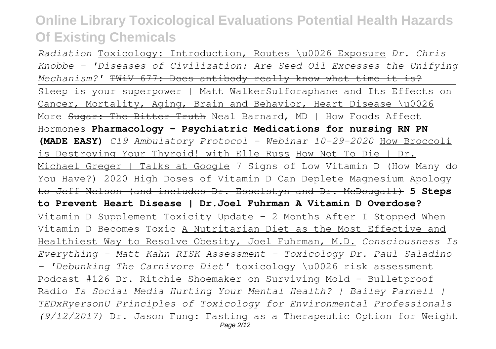*Radiation* Toxicology: Introduction, Routes \u0026 Exposure *Dr. Chris Knobbe - 'Diseases of Civilization: Are Seed Oil Excesses the Unifying Mechanism?'* TWiV 677: Does antibody really know what time it is? Sleep is your superpower | Matt WalkerSulforaphane and Its Effects on Cancer, Mortality, Aging, Brain and Behavior, Heart Disease \u0026 More Sugar: The Bitter Truth Neal Barnard, MD | How Foods Affect Hormones **Pharmacology - Psychiatric Medications for nursing RN PN (MADE EASY)** *C19 Ambulatory Protocol - Webinar 10-29-2020* How Broccoli is Destroying Your Thyroid! with Elle Russ How Not To Die | Dr. Michael Greger | Talks at Google 7 Signs of Low Vitamin D (How Many do You Have?) 2020 High Doses of Vitamin D Can Deplete Magnesium Apology to Jeff Nelson (and includes Dr. Esselstyn and Dr. McDougall) **5 Steps to Prevent Heart Disease | Dr.Joel Fuhrman A Vitamin D Overdose?** Vitamin D Supplement Toxicity Update - 2 Months After I Stopped When Vitamin D Becomes Toxic A Nutritarian Diet as the Most Effective and Healthiest Way to Resolve Obesity, Joel Fuhrman, M.D. *Consciousness Is Everything - Matt Kahn RISK Assessment - Toxicology Dr. Paul Saladino - 'Debunking The Carnivore Diet'* toxicology \u0026 risk assessment Podcast #126 Dr. Ritchie Shoemaker on Surviving Mold - Bulletproof Radio *Is Social Media Hurting Your Mental Health? | Bailey Parnell | TEDxRyersonU Principles of Toxicology for Environmental Professionals (9/12/2017)* Dr. Jason Fung: Fasting as a Therapeutic Option for Weight Page 2/12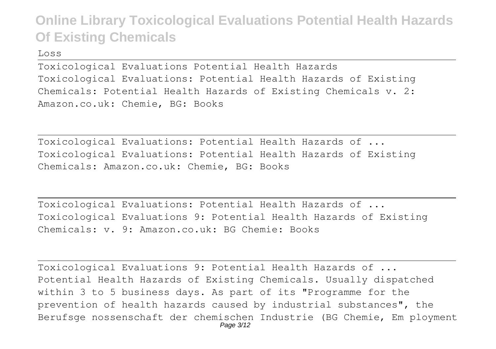Loss

Toxicological Evaluations Potential Health Hazards Toxicological Evaluations: Potential Health Hazards of Existing Chemicals: Potential Health Hazards of Existing Chemicals v. 2: Amazon.co.uk: Chemie, BG: Books

Toxicological Evaluations: Potential Health Hazards of ... Toxicological Evaluations: Potential Health Hazards of Existing Chemicals: Amazon.co.uk: Chemie, BG: Books

Toxicological Evaluations: Potential Health Hazards of ... Toxicological Evaluations 9: Potential Health Hazards of Existing Chemicals: v. 9: Amazon.co.uk: BG Chemie: Books

Toxicological Evaluations 9: Potential Health Hazards of ... Potential Health Hazards of Existing Chemicals. Usually dispatched within 3 to 5 business days. As part of its "Programme for the prevention of health hazards caused by industrial substances", the Berufsge nossenschaft der chemischen Industrie (BG Chemie, Em ployment Page 3/12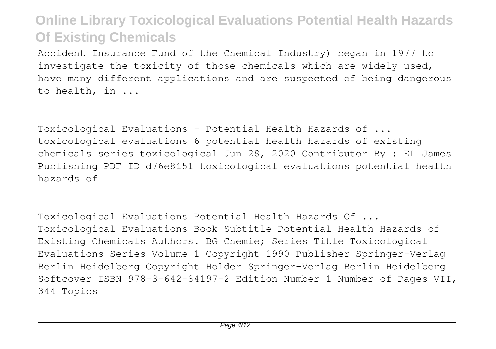Accident Insurance Fund of the Chemical Industry) began in 1977 to investigate the toxicity of those chemicals which are widely used, have many different applications and are suspected of being dangerous to health, in ...

Toxicological Evaluations - Potential Health Hazards of ... toxicological evaluations 6 potential health hazards of existing chemicals series toxicological Jun 28, 2020 Contributor By : EL James Publishing PDF ID d76e8151 toxicological evaluations potential health hazards of

Toxicological Evaluations Potential Health Hazards Of ... Toxicological Evaluations Book Subtitle Potential Health Hazards of Existing Chemicals Authors. BG Chemie; Series Title Toxicological Evaluations Series Volume 1 Copyright 1990 Publisher Springer-Verlag Berlin Heidelberg Copyright Holder Springer-Verlag Berlin Heidelberg Softcover ISBN 978-3-642-84197-2 Edition Number 1 Number of Pages VII, 344 Topics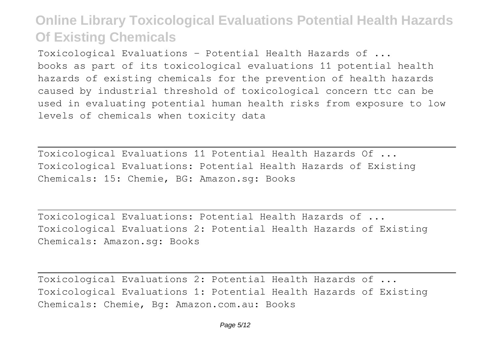Toxicological Evaluations - Potential Health Hazards of ... books as part of its toxicological evaluations 11 potential health hazards of existing chemicals for the prevention of health hazards caused by industrial threshold of toxicological concern ttc can be used in evaluating potential human health risks from exposure to low levels of chemicals when toxicity data

Toxicological Evaluations 11 Potential Health Hazards Of ... Toxicological Evaluations: Potential Health Hazards of Existing Chemicals: 15: Chemie, BG: Amazon.sg: Books

Toxicological Evaluations: Potential Health Hazards of ... Toxicological Evaluations 2: Potential Health Hazards of Existing Chemicals: Amazon.sg: Books

Toxicological Evaluations 2: Potential Health Hazards of ... Toxicological Evaluations 1: Potential Health Hazards of Existing Chemicals: Chemie, Bg: Amazon.com.au: Books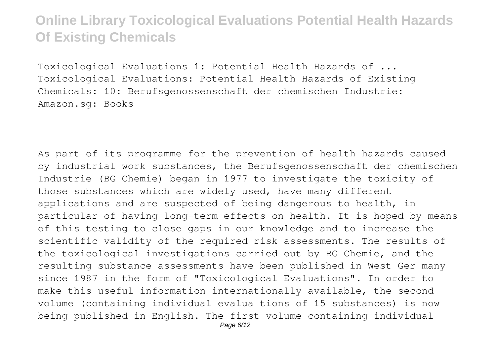Toxicological Evaluations 1: Potential Health Hazards of ... Toxicological Evaluations: Potential Health Hazards of Existing Chemicals: 10: Berufsgenossenschaft der chemischen Industrie: Amazon.sg: Books

As part of its programme for the prevention of health hazards caused by industrial work substances, the Berufsgenossenschaft der chemischen Industrie (BG Chemie) began in 1977 to investigate the toxicity of those substances which are widely used, have many different applications and are suspected of being dangerous to health, in particular of having long-term effects on health. It is hoped by means of this testing to close gaps in our knowledge and to increase the scientific validity of the required risk assessments. The results of the toxicological investigations carried out by BG Chemie, and the resulting substance assessments have been published in West Ger many since 1987 in the form of "Toxicological Evaluations". In order to make this useful information internationally available, the second volume (containing individual evalua tions of 15 substances) is now being published in English. The first volume containing individual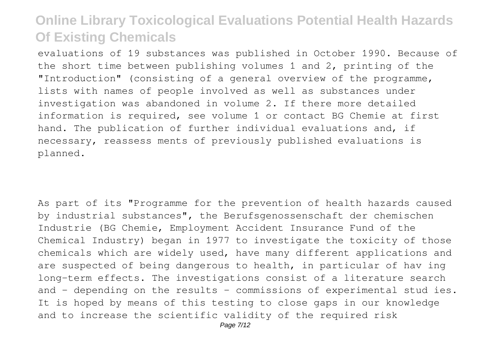evaluations of 19 substances was published in October 1990. Because of the short time between publishing volumes 1 and 2, printing of the "Introduction" (consisting of a general overview of the programme, lists with names of people involved as well as substances under investigation was abandoned in volume 2. If there more detailed information is required, see volume 1 or contact BG Chemie at first hand. The publication of further individual evaluations and, if necessary, reassess ments of previously published evaluations is planned.

As part of its "Programme for the prevention of health hazards caused by industrial substances", the Berufsgenossenschaft der chemischen Industrie (BG Chemie, Employment Accident Insurance Fund of the Chemical Industry) began in 1977 to investigate the toxicity of those chemicals which are widely used, have many different applications and are suspected of being dangerous to health, in particular of hav ing long-term effects. The investigations consist of a literature search and - depending on the results - commissions of experimental stud ies. It is hoped by means of this testing to close gaps in our knowledge and to increase the scientific validity of the required risk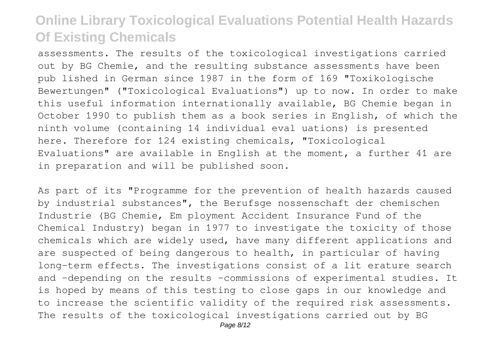assessments. The results of the toxicological investigations carried out by BG Chemie, and the resulting substance assessments have been pub lished in German since 1987 in the form of 169 "Toxikologische Bewertungen" ("Toxicological Evaluations") up to now. In order to make this useful information internationally available, BG Chemie began in October 1990 to publish them as a book series in English, of which the ninth volume (containing 14 individual eval uations) is presented here. Therefore for 124 existing chemicals, "Toxicological Evaluations" are available in English at the moment, a further 41 are in preparation and will be published soon.

As part of its "Programme for the prevention of health hazards caused by industrial substances", the Berufsge nossenschaft der chemischen Industrie (BG Chemie, Em ployment Accident Insurance Fund of the Chemical Industry) began in 1977 to investigate the toxicity of those chemicals which are widely used, have many different applications and are suspected of being dangerous to health, in particular of having long-term effects. The investigations consist of a lit erature search and -depending on the results -commissions of experimental studies. It is hoped by means of this testing to close gaps in our knowledge and to increase the scientific validity of the required risk assessments. The results of the toxicological investigations carried out by BG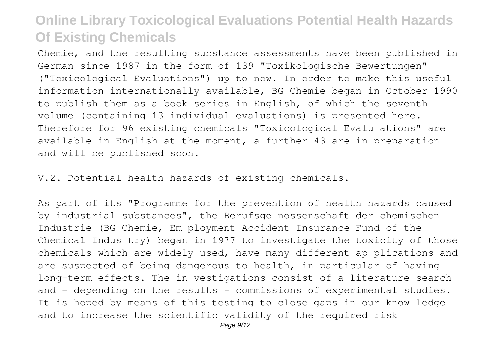Chemie, and the resulting substance assessments have been published in German since 1987 in the form of 139 "Toxikologische Bewertungen" ("Toxicological Evaluations") up to now. In order to make this useful information internationally available, BG Chemie began in October 1990 to publish them as a book series in English, of which the seventh volume (containing 13 individual evaluations) is presented here. Therefore for 96 existing chemicals "Toxicological Evalu ations" are available in English at the moment, a further 43 are in preparation and will be published soon.

V.2. Potential health hazards of existing chemicals.

As part of its "Programme for the prevention of health hazards caused by industrial substances", the Berufsge nossenschaft der chemischen Industrie (BG Chemie, Em ployment Accident Insurance Fund of the Chemical Indus try) began in 1977 to investigate the toxicity of those chemicals which are widely used, have many different ap plications and are suspected of being dangerous to health, in particular of having long-term effects. The in vestigations consist of a literature search and - depending on the results - commissions of experimental studies. It is hoped by means of this testing to close gaps in our know ledge and to increase the scientific validity of the required risk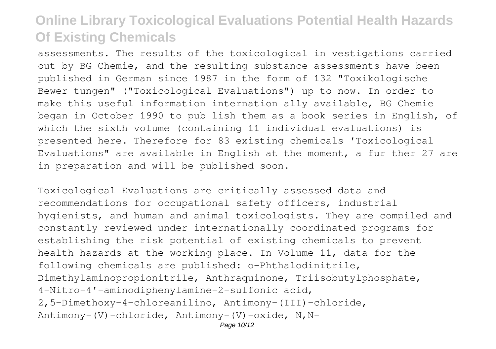assessments. The results of the toxicological in vestigations carried out by BG Chemie, and the resulting substance assessments have been published in German since 1987 in the form of 132 "Toxikologische Bewer tungen" ("Toxicological Evaluations") up to now. In order to make this useful information internation ally available, BG Chemie began in October 1990 to pub lish them as a book series in English, of which the sixth volume (containing 11 individual evaluations) is presented here. Therefore for 83 existing chemicals 'Toxicological Evaluations" are available in English at the moment, a fur ther 27 are in preparation and will be published soon.

Toxicological Evaluations are critically assessed data and recommendations for occupational safety officers, industrial hygienists, and human and animal toxicologists. They are compiled and constantly reviewed under internationally coordinated programs for establishing the risk potential of existing chemicals to prevent health hazards at the working place. In Volume 11, data for the following chemicals are published: o-Phthalodinitrile, Dimethylaminopropionitrile, Anthraquinone, Triisobutylphosphate, 4-Nitro-4'-aminodiphenylamine-2-sulfonic acid, 2,5-Dimethoxy-4-chloreanilino, Antimony-(III)-chloride, Antimony-(V)-chloride, Antimony-(V)-oxide, N,N-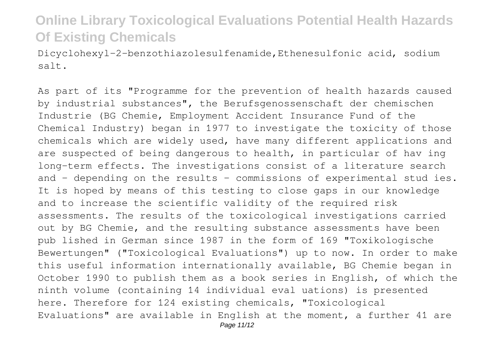Dicyclohexyl-2-benzothiazolesulfenamide,Ethenesulfonic acid, sodium salt.

As part of its "Programme for the prevention of health hazards caused by industrial substances", the Berufsgenossenschaft der chemischen Industrie (BG Chemie, Employment Accident Insurance Fund of the Chemical Industry) began in 1977 to investigate the toxicity of those chemicals which are widely used, have many different applications and are suspected of being dangerous to health, in particular of hav ing long-term effects. The investigations consist of a literature search and - depending on the results - commissions of experimental stud ies. It is hoped by means of this testing to close gaps in our knowledge and to increase the scientific validity of the required risk assessments. The results of the toxicological investigations carried out by BG Chemie, and the resulting substance assessments have been pub lished in German since 1987 in the form of 169 "Toxikologische Bewertungen" ("Toxicological Evaluations") up to now. In order to make this useful information internationally available, BG Chemie began in October 1990 to publish them as a book series in English, of which the ninth volume (containing 14 individual eval uations) is presented here. Therefore for 124 existing chemicals, "Toxicological Evaluations" are available in English at the moment, a further 41 are